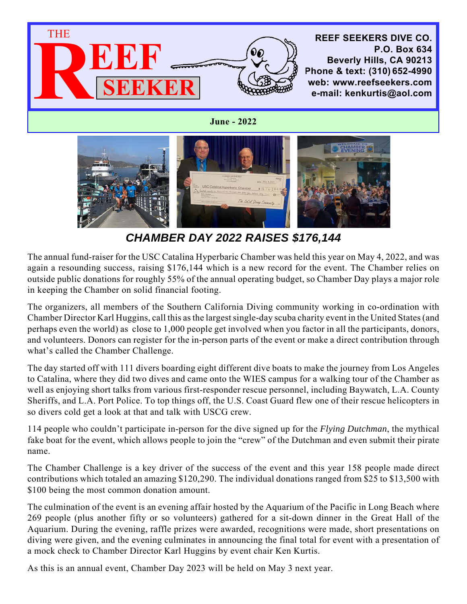

**June - 2022**



*CHAMBER DAY 2022 RAISES \$176,144*

The annual fund-raiser for the USC Catalina Hyperbaric Chamber was held this year on May 4, 2022, and was again a resounding success, raising \$176,144 which is a new record for the event. The Chamber relies on outside public donations for roughly 55% of the annual operating budget, so Chamber Day plays a major role in keeping the Chamber on solid financial footing.

The organizers, all members of the Southern California Diving community working in co-ordination with Chamber Director Karl Huggins, call this as the largest single-day scuba charity event in the United States (and perhaps even the world) as close to 1,000 people get involved when you factor in all the participants, donors, and volunteers. Donors can register for the in-person parts of the event or make a direct contribution through what's called the Chamber Challenge.

The day started off with 111 divers boarding eight different dive boats to make the journey from Los Angeles to Catalina, where they did two dives and came onto the WIES campus for a walking tour of the Chamber as well as enjoying short talks from various first-responder rescue personnel, including Baywatch, L.A. County Sheriffs, and L.A. Port Police. To top things off, the U.S. Coast Guard flew one of their rescue helicopters in so divers cold get a look at that and talk with USCG crew.

114 people who couldn't participate in-person for the dive signed up for the *Flying Dutchman*, the mythical fake boat for the event, which allows people to join the "crew" of the Dutchman and even submit their pirate name.

The Chamber Challenge is a key driver of the success of the event and this year 158 people made direct contributions which totaled an amazing \$120,290. The individual donations ranged from \$25 to \$13,500 with \$100 being the most common donation amount.

The culmination of the event is an evening affair hosted by the Aquarium of the Pacific in Long Beach where 269 people (plus another fifty or so volunteers) gathered for a sit-down dinner in the Great Hall of the Aquarium. During the evening, raffle prizes were awarded, recognitions were made, short presentations on diving were given, and the evening culminates in announcing the final total for event with a presentation of a mock check to Chamber Director Karl Huggins by event chair Ken Kurtis.

As this is an annual event, Chamber Day 2023 will be held on May 3 next year.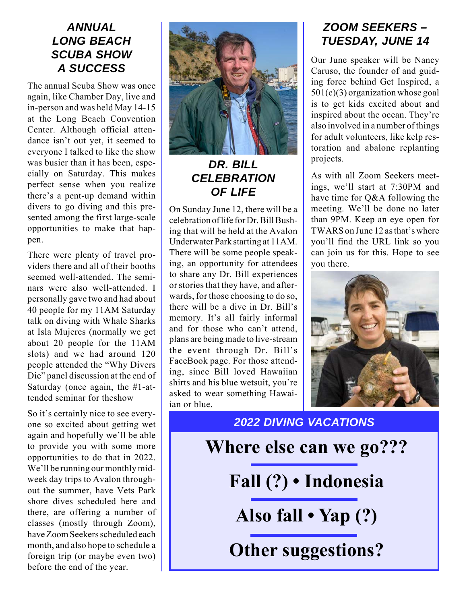#### *ANNUAL LONG BEACH SCUBA SHOW A SUCCESS*

The annual Scuba Show was once again, like Chamber Day, live and in-person and was held May 14-15 at the Long Beach Convention Center. Although official attendance isn't out yet, it seemed to everyone I talked to like the show was busier than it has been, especially on Saturday. This makes perfect sense when you realize there's a pent-up demand within divers to go diving and this presented among the first large-scale opportunities to make that happen.

There were plenty of travel providers there and all of their booths seemed well-attended. The seminars were also well-attended. I personally gave two and had about 40 people for my 11AM Saturday talk on diving with Whale Sharks at Isla Mujeres (normally we get about 20 people for the 11AM slots) and we had around 120 people attended the "Why Divers Die" panel discussion at the end of Saturday (once again, the #1-attended seminar for theshow

So it's certainly nice to see everyone so excited about getting wet again and hopefully we'll be able to provide you with some more opportunities to do that in 2022. We'll be running our monthly midweek day trips to Avalon throughout the summer, have Vets Park shore dives scheduled here and there, are offering a number of classes (mostly through Zoom), have Zoom Seekers scheduled each month, and also hope to schedule a foreign trip (or maybe even two) before the end of the year.



# *DR. BILL CELEBRATION OF LIFE*

On Sunday June 12, there will be a celebration of life for Dr. Bill Bushing that will be held at the Avalon Underwater Park starting at 11AM. There will be some people speaking, an opportunity for attendees to share any Dr. Bill experiences or stories that they have, and afterwards, for those choosing to do so, there will be a dive in Dr. Bill's memory. It's all fairly informal and for those who can't attend, plans are being made to live-stream the event through Dr. Bill's FaceBook page. For those attending, since Bill loved Hawaiian shirts and his blue wetsuit, you're asked to wear something Hawaiian or blue.

# *ZOOM SEEKERS – TUESDAY, JUNE 14*

Our June speaker will be Nancy Caruso, the founder of and guiding force behind Get Inspired, a 501(c)(3) organization whose goal is to get kids excited about and inspired about the ocean. They're also involved in a number of things for adult volunteers, like kelp restoration and abalone replanting projects.

As with all Zoom Seekers meetings, we'll start at 7:30PM and have time for Q&A following the meeting. We'll be done no later than 9PM. Keep an eye open for TWARS on June 12 as that's where you'll find the URL link so you can join us for this. Hope to see you there.



*2022 DIVING VACATIONS* **Where else can we go??? Fall (?) • Indonesia Also fall • Yap (?) Other suggestions?**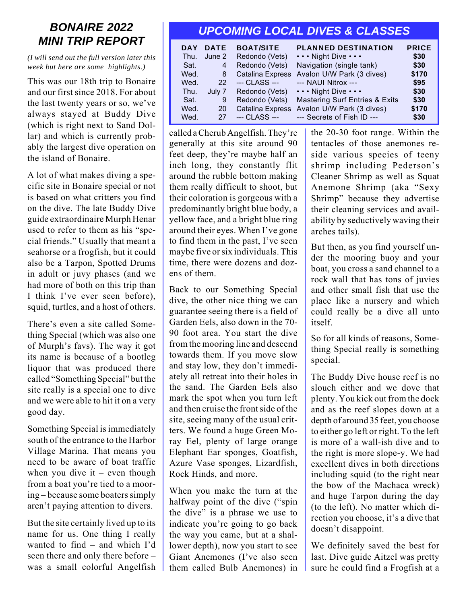# *BONAIRE 2022 MINI TRIP REPORT*

*(I will send out the full version later this week but here are some highlights.)*

This was our 18th trip to Bonaire and our first since 2018. For about the last twenty years or so, we've always stayed at Buddy Dive (which is right next to Sand Dollar) and which is currently probably the largest dive operation on the island of Bonaire.

A lot of what makes diving a specific site in Bonaire special or not is based on what critters you find on the dive. The late Buddy Dive guide extraordinaire Murph Henar used to refer to them as his "special friends." Usually that meant a seahorse or a frogfish, but it could also be a Tarpon, Spotted Drums in adult or juvy phases (and we had more of both on this trip than I think I've ever seen before), squid, turtles, and a host of others.

There's even a site called Something Special (which was also one of Murph's favs). The way it got its name is because of a bootleg liquor that was produced there called "Something Special" but the site really is a special one to dive and we were able to hit it on a very good day.

Something Special is immediately south of the entrance to the Harbor Village Marina. That means you need to be aware of boat traffic when you dive it – even though from a boat you're tied to a mooring – because some boaters simply aren't paying attention to divers.

But the site certainly lived up to its name for us. One thing I really wanted to find – and which I'd seen there and only there before – was a small colorful Angelfish

# *UPCOMING LOCAL DIVES & CLASSES*

| <b>DAY</b><br>Thu.<br>Sat.<br>Wed.<br>Wed.<br>Thu.<br>Sat.<br>Wed. | <b>DATE</b><br>June 2<br>$\overline{4}$<br>8<br>9<br>20 | <b>BOAT/SITE</b><br>Redondo (Vets)<br>Redondo (Vets)<br>Redondo (Vets) | <b>PLANNED DESTINATION</b><br>Night Dive<br>Navigation (single tank)<br>Catalina Express Avalon U/W Park (3 dives)<br>22 --- CLASS --- --- NAUI Nitrox ---<br>July 7 Redondo (Vets)  Night Dive<br><b>Mastering Surf Entries &amp; Exits</b><br>Catalina Express Avalon U/W Park (3 dives) | <b>PRICE</b><br>\$30<br>\$30<br>\$170<br>\$95<br>\$30<br>\$30<br>\$170 |
|--------------------------------------------------------------------|---------------------------------------------------------|------------------------------------------------------------------------|--------------------------------------------------------------------------------------------------------------------------------------------------------------------------------------------------------------------------------------------------------------------------------------------|------------------------------------------------------------------------|
| Wed.                                                               | 27                                                      | --- CLASS ---                                                          | --- Secrets of Fish ID ---                                                                                                                                                                                                                                                                 | \$30                                                                   |

called a Cherub Angelfish. They're generally at this site around 90 feet deep, they're maybe half an inch long, they constantly flit around the rubble bottom making them really difficult to shoot, but their coloration is gorgeous with a predominantly bright blue body, a yellow face, and a bright blue ring around their eyes. When I've gone to find them in the past, I've seen maybe five or six individuals. This time, there were dozens and dozens of them.

Back to our Something Special dive, the other nice thing we can guarantee seeing there is a field of Garden Eels, also down in the 70- 90 foot area. You start the dive from the mooring line and descend towards them. If you move slow and stay low, they don't immediately all retreat into their holes in the sand. The Garden Eels also mark the spot when you turn left and then cruise the front side of the site, seeing many of the usual critters. We found a huge Green Moray Eel, plenty of large orange Elephant Ear sponges, Goatfish, Azure Vase sponges, Lizardfish, Rock Hinds, and more.

When you make the turn at the halfway point of the dive ("spin the dive" is a phrase we use to indicate you're going to go back the way you came, but at a shallower depth), now you start to see Giant Anemones (I've also seen them called Bulb Anemones) in

the 20-30 foot range. Within the tentacles of those anemones reside various species of teeny shrimp including Pederson's Cleaner Shrimp as well as Squat Anemone Shrimp (aka "Sexy Shrimp" because they advertise their cleaning services and availability by seductively waving their arches tails).

But then, as you find yourself under the mooring buoy and your boat, you cross a sand channel to a rock wall that has tons of juvies and other small fish that use the place like a nursery and which could really be a dive all unto itself.

So for all kinds of reasons, Something Special really is something special.

The Buddy Dive house reef is no slouch either and we dove that plenty. You kick out from the dock and as the reef slopes down at a depth of around 35 feet, you choose to either go left or right. To the left is more of a wall-ish dive and to the right is more slope-y. We had excellent dives in both directions including squid (to the right near the bow of the Machaca wreck) and huge Tarpon during the day (to the left). No matter which direction you choose, it's a dive that doesn't disappoint.

We definitely saved the best for last. Dive guide Aitzel was pretty sure he could find a Frogfish at a